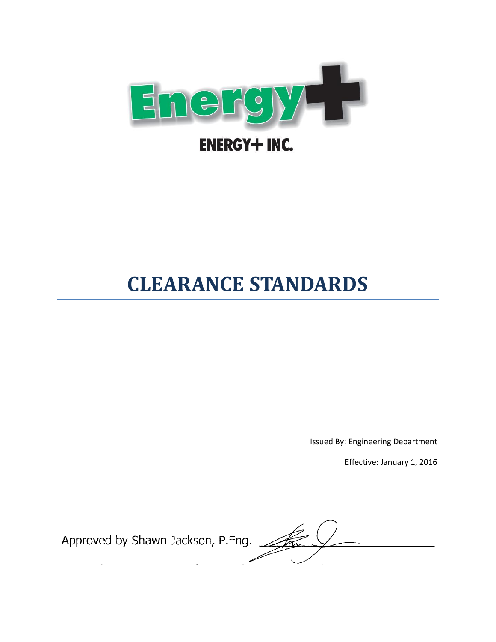

# **CLEARANCE STANDARDS**

Issued By: Engineering Department

Effective: January 1, 2016

Approved by Shawn Jackson, P.Eng.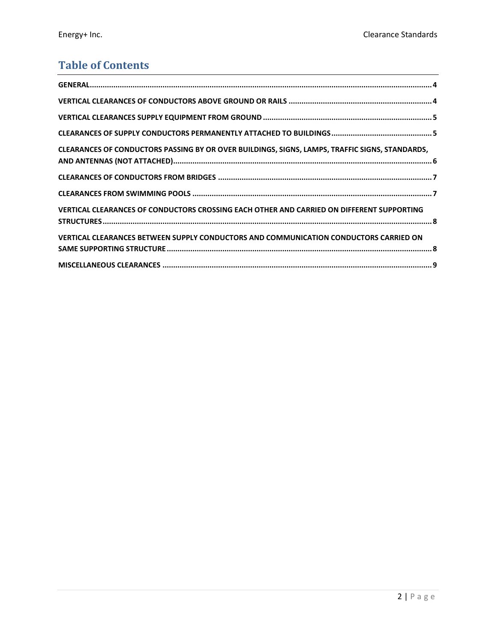# **Table of Contents**

| CLEARANCES OF CONDUCTORS PASSING BY OR OVER BUILDINGS, SIGNS, LAMPS, TRAFFIC SIGNS, STANDARDS, |  |
|------------------------------------------------------------------------------------------------|--|
|                                                                                                |  |
|                                                                                                |  |
| VERTICAL CLEARANCES OF CONDUCTORS CROSSING EACH OTHER AND CARRIED ON DIFFERENT SUPPORTING      |  |
| VERTICAL CLEARANCES BETWEEN SUPPLY CONDUCTORS AND COMMUNICATION CONDUCTORS CARRIED ON          |  |
|                                                                                                |  |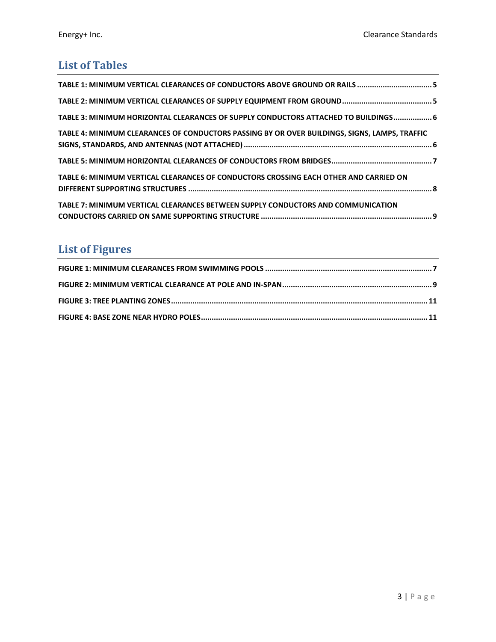# **List of Tables**

| TABLE 1: MINIMUM VERTICAL CLEARANCES OF CONDUCTORS ABOVE GROUND OR RAILS 5                    |  |
|-----------------------------------------------------------------------------------------------|--|
|                                                                                               |  |
| TABLE 3: MINIMUM HORIZONTAL CLEARANCES OF SUPPLY CONDUCTORS ATTACHED TO BUILDINGS 6           |  |
| TABLE 4: MINIMUM CLEARANCES OF CONDUCTORS PASSING BY OR OVER BUILDINGS, SIGNS, LAMPS, TRAFFIC |  |
|                                                                                               |  |
| TABLE 6: MINIMUM VERTICAL CLEARANCES OF CONDUCTORS CROSSING EACH OTHER AND CARRIED ON         |  |
| TABLE 7: MINIMUM VERTICAL CLEARANCES BETWEEN SUPPLY CONDUCTORS AND COMMUNICATION              |  |

# **List of Figures**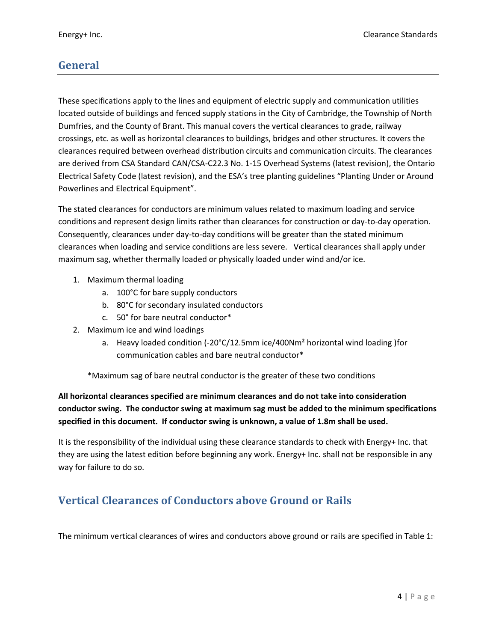### <span id="page-3-0"></span>**General**

These specifications apply to the lines and equipment of electric supply and communication utilities located outside of buildings and fenced supply stations in the City of Cambridge, the Township of North Dumfries, and the County of Brant. This manual covers the vertical clearances to grade, railway crossings, etc. as well as horizontal clearances to buildings, bridges and other structures. It covers the clearances required between overhead distribution circuits and communication circuits. The clearances are derived from CSA Standard CAN/CSA-C22.3 No. 1-15 Overhead Systems (latest revision), the Ontario Electrical Safety Code (latest revision), and the ESA's tree planting guidelines "Planting Under or Around Powerlines and Electrical Equipment".

The stated clearances for conductors are minimum values related to maximum loading and service conditions and represent design limits rather than clearances for construction or day-to-day operation. Consequently, clearances under day-to-day conditions will be greater than the stated minimum clearances when loading and service conditions are less severe. Vertical clearances shall apply under maximum sag, whether thermally loaded or physically loaded under wind and/or ice.

- 1. Maximum thermal loading
	- a. 100°C for bare supply conductors
	- b. 80°C for secondary insulated conductors
	- c. 50° for bare neutral conductor\*
- 2. Maximum ice and wind loadings
	- a. Heavy loaded condition (-20°C/12.5mm ice/400Nm<sup>2</sup> horizontal wind loading )for communication cables and bare neutral conductor\*

\*Maximum sag of bare neutral conductor is the greater of these two conditions

**All horizontal clearances specified are minimum clearances and do not take into consideration conductor swing. The conductor swing at maximum sag must be added to the minimum specifications specified in this document. If conductor swing is unknown, a value of 1.8m shall be used.**

It is the responsibility of the individual using these clearance standards to check with Energy+ Inc. that they are using the latest edition before beginning any work. Energy+ Inc. shall not be responsible in any way for failure to do so.

### <span id="page-3-1"></span>**Vertical Clearances of Conductors above Ground or Rails**

The minimum vertical clearances of wires and conductors above ground or rails are specified in Table 1: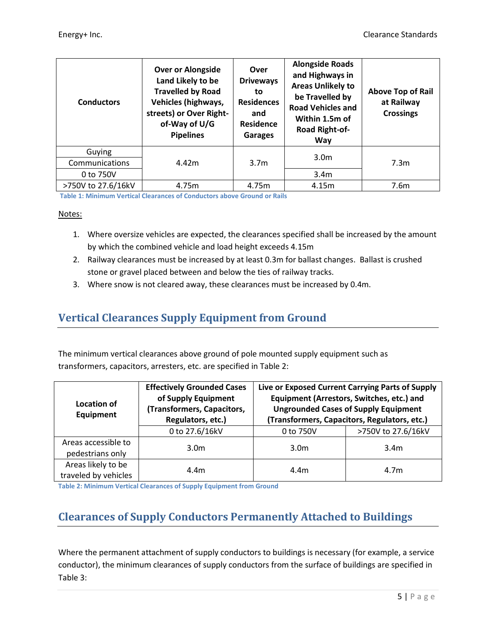| <b>Conductors</b> | <b>Over or Alongside</b><br>Land Likely to be<br><b>Travelled by Road</b><br><b>Vehicles (highways,</b><br>streets) or Over Right-<br>of-Way of U/G<br><b>Pipelines</b> | Over<br><b>Driveways</b><br>to<br><b>Residences</b><br>and<br><b>Residence</b><br><b>Garages</b> | <b>Alongside Roads</b><br>and Highways in<br><b>Areas Unlikely to</b><br>be Travelled by<br><b>Road Vehicles and</b><br>Within 1.5m of<br>Road Right-of-<br>Way | <b>Above Top of Rail</b><br>at Railway<br><b>Crossings</b> |
|-------------------|-------------------------------------------------------------------------------------------------------------------------------------------------------------------------|--------------------------------------------------------------------------------------------------|-----------------------------------------------------------------------------------------------------------------------------------------------------------------|------------------------------------------------------------|
| Guying            |                                                                                                                                                                         |                                                                                                  | 3.0 <sub>m</sub>                                                                                                                                                |                                                            |
| Communications    | 4.42m                                                                                                                                                                   | 3.7 <sub>m</sub>                                                                                 |                                                                                                                                                                 | 7.3 <sub>m</sub>                                           |
|                   |                                                                                                                                                                         |                                                                                                  |                                                                                                                                                                 |                                                            |
| 0 to 750V         |                                                                                                                                                                         |                                                                                                  | 3.4 <sub>m</sub>                                                                                                                                                |                                                            |

<span id="page-4-4"></span><span id="page-4-2"></span>**Table 1: Minimum Vertical Clearances of Conductors above Ground or Rails**

#### Notes:

- 1. Where oversize vehicles are expected, the clearances specified shall be increased by the amount by which the combined vehicle and load height exceeds 4.15m
- 2. Railway clearances must be increased by at least 0.3m for ballast changes. Ballast is crushed stone or gravel placed between and below the ties of railway tracks.
- 3. Where snow is not cleared away, these clearances must be increased by 0.4m.

### <span id="page-4-0"></span>**Vertical Clearances Supply Equipment from Ground**

The minimum vertical clearances above ground of pole mounted supply equipment such as transformers, capacitors, arresters, etc. are specified in Table 2:

| Location of<br>Equipment | <b>Effectively Grounded Cases</b><br>of Supply Equipment<br>(Transformers, Capacitors,<br>Regulators, etc.) |                  | Live or Exposed Current Carrying Parts of Supply<br>Equipment (Arrestors, Switches, etc.) and<br><b>Ungrounded Cases of Supply Equipment</b><br>(Transformers, Capacitors, Regulators, etc.) |  |
|--------------------------|-------------------------------------------------------------------------------------------------------------|------------------|----------------------------------------------------------------------------------------------------------------------------------------------------------------------------------------------|--|
|                          | 0 to 27.6/16kV                                                                                              | 0 to 750V        | >750V to 27.6/16kV                                                                                                                                                                           |  |
| Areas accessible to      | 3.0 <sub>m</sub>                                                                                            | 3.0 <sub>m</sub> | 3.4 <sub>m</sub>                                                                                                                                                                             |  |
| pedestrians only         |                                                                                                             |                  |                                                                                                                                                                                              |  |
| Areas likely to be       | 4.4m                                                                                                        | 4.4 <sub>m</sub> | 4.7 <sub>m</sub>                                                                                                                                                                             |  |
| traveled by vehicles     |                                                                                                             |                  |                                                                                                                                                                                              |  |

<span id="page-4-3"></span>**Table 2: Minimum Vertical Clearances of Supply Equipment from Ground**

# <span id="page-4-1"></span>**Clearances of Supply Conductors Permanently Attached to Buildings**

Where the permanent attachment of supply conductors to buildings is necessary (for example, a service conductor), the minimum clearances of supply conductors from the surface of buildings are specified in Table 3: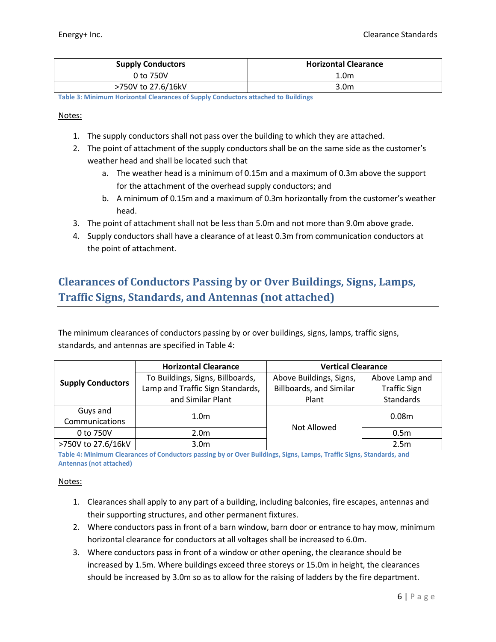| <b>Supply Conductors</b> | <b>Horizontal Clearance</b> |
|--------------------------|-----------------------------|
| 0 to 750V                | 1.0m                        |
| >750V to 27.6/16kV       | 3.0 <sub>m</sub>            |

<span id="page-5-1"></span>**Table 3: Minimum Horizontal Clearances of Supply Conductors attached to Buildings**

#### Notes:

- 1. The supply conductors shall not pass over the building to which they are attached.
- 2. The point of attachment of the supply conductors shall be on the same side as the customer's weather head and shall be located such that
	- a. The weather head is a minimum of 0.15m and a maximum of 0.3m above the support for the attachment of the overhead supply conductors; and
	- b. A minimum of 0.15m and a maximum of 0.3m horizontally from the customer's weather head.
- 3. The point of attachment shall not be less than 5.0m and not more than 9.0m above grade.
- 4. Supply conductors shall have a clearance of at least 0.3m from communication conductors at the point of attachment.

## <span id="page-5-0"></span>**Clearances of Conductors Passing by or Over Buildings, Signs, Lamps, Traffic Signs, Standards, and Antennas (not attached)**

The minimum clearances of conductors passing by or over buildings, signs, lamps, traffic signs, standards, and antennas are specified in Table 4:

|                          | <b>Horizontal Clearance</b>      | <b>Vertical Clearance</b>      |                     |  |
|--------------------------|----------------------------------|--------------------------------|---------------------|--|
|                          | To Buildings, Signs, Billboards, | Above Buildings, Signs,        | Above Lamp and      |  |
| <b>Supply Conductors</b> | Lamp and Traffic Sign Standards, | <b>Billboards, and Similar</b> | <b>Traffic Sign</b> |  |
| and Similar Plant        |                                  | Plant                          | Standards           |  |
| Guys and                 | 1.0 <sub>m</sub>                 |                                | 0.08 <sub>m</sub>   |  |
| Communications           |                                  | Not Allowed                    |                     |  |
| 0 to 750V                | 2.0 <sub>m</sub>                 |                                | 0.5 <sub>m</sub>    |  |
| >750V to 27.6/16kV       | 3.0 <sub>m</sub>                 |                                | 2.5m                |  |

<span id="page-5-2"></span>**Table 4: Minimum Clearances of Conductors passing by or Over Buildings, Signs, Lamps, Traffic Signs, Standards, and Antennas (not attached)**

#### Notes:

- 1. Clearances shall apply to any part of a building, including balconies, fire escapes, antennas and their supporting structures, and other permanent fixtures.
- 2. Where conductors pass in front of a barn window, barn door or entrance to hay mow, minimum horizontal clearance for conductors at all voltages shall be increased to 6.0m.
- 3. Where conductors pass in front of a window or other opening, the clearance should be increased by 1.5m. Where buildings exceed three storeys or 15.0m in height, the clearances should be increased by 3.0m so as to allow for the raising of ladders by the fire department.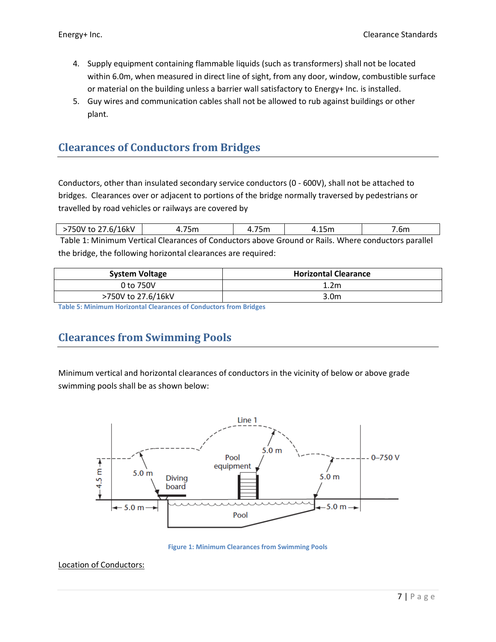- 4. Supply equipment containing flammable liquids (such as transformers) shall not be located within 6.0m, when measured in direct line of sight, from any door, window, combustible surface or material on the building unless a barrier wall satisfactory to Energy+ Inc. is installed.
- 5. Guy wires and communication cables shall not be allowed to rub against buildings or other plant.

### <span id="page-6-0"></span>**Clearances of Conductors from Bridges**

Conductors, other than insulated secondary service conductors (0 - 600V), shall not be attached to bridges. Clearances over or adjacent to portions of the bridge normally traversed by pedestrians or travelled by road vehicles or railways are covered b[y](#page-4-4) 

| >750V to 27.6/16kV                                                                                  | 75m | 75m |  | .6m |
|-----------------------------------------------------------------------------------------------------|-----|-----|--|-----|
| Table 1: Minimum Vertical Clearances of Conductors above Ground or Pails, Where conductors parallel |     |     |  |     |

ertical Clearances of Conductors above Ground or Rails. Where conductors parallel the bridge, the following horizontal clearances are required:

| <b>System Voltage</b> | <b>Horizontal Clearance</b> |
|-----------------------|-----------------------------|
| 0 to 750V             | 1.2 <sub>m</sub>            |
| >750V to 27.6/16kV    | 3.0m                        |

<span id="page-6-2"></span>**Table 5: Minimum Horizontal Clearances of Conductors from Bridges**

### <span id="page-6-1"></span>**Clearances from Swimming Pools**

Minimum vertical and horizontal clearances of conductors in the vicinity of below or above grade swimming pools shall be as shown below:



**Figure 1: Minimum Clearances from Swimming Pools**

<span id="page-6-3"></span>Location of Conductors: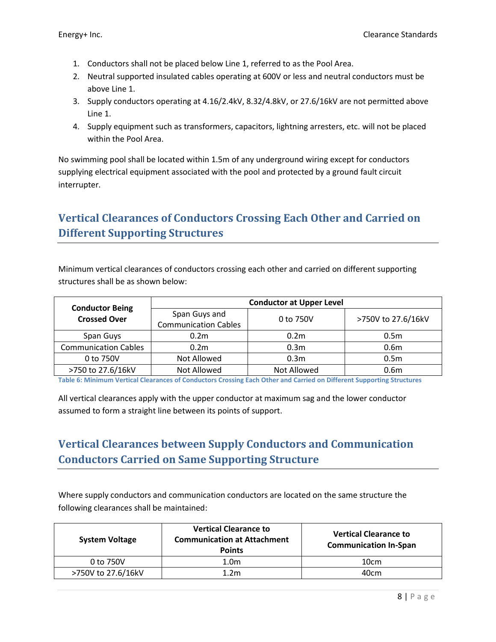- 1. Conductors shall not be placed below Line 1, referred to as the Pool Area.
- 2. Neutral supported insulated cables operating at 600V or less and neutral conductors must be above Line 1.
- 3. Supply conductors operating at 4.16/2.4kV, 8.32/4.8kV, or 27.6/16kV are not permitted above Line 1.
- 4. Supply equipment such as transformers, capacitors, lightning arresters, etc. will not be placed within the Pool Area.

No swimming pool shall be located within 1.5m of any underground wiring except for conductors supplying electrical equipment associated with the pool and protected by a ground fault circuit interrupter.

# <span id="page-7-0"></span>**Vertical Clearances of Conductors Crossing Each Other and Carried on Different Supporting Structures**

Minimum vertical clearances of conductors crossing each other and carried on different supporting structures shall be as shown below:

| <b>Conductor Being</b>      | <b>Conductor at Upper Level</b>              |                  |                    |  |
|-----------------------------|----------------------------------------------|------------------|--------------------|--|
| <b>Crossed Over</b>         | Span Guys and<br><b>Communication Cables</b> | 0 to 750V        | >750V to 27.6/16kV |  |
| Span Guys                   | 0.2 <sub>m</sub>                             | 0.2 <sub>m</sub> | 0.5 <sub>m</sub>   |  |
| <b>Communication Cables</b> | 0.2 <sub>m</sub>                             | 0.3 <sub>m</sub> | 0.6 <sub>m</sub>   |  |
| 0 to 750V                   | Not Allowed                                  | 0.3 <sub>m</sub> | 0.5 <sub>m</sub>   |  |
| >750 to 27.6/16kV           | Not Allowed                                  | Not Allowed      | 0.6m               |  |

<span id="page-7-2"></span>**Table 6: Minimum Vertical Clearances of Conductors Crossing Each Other and Carried on Different Supporting Structures**

All vertical clearances apply with the upper conductor at maximum sag and the lower conductor assumed to form a straight line between its points of support.

# <span id="page-7-1"></span>**Vertical Clearances between Supply Conductors and Communication Conductors Carried on Same Supporting Structure**

Where supply conductors and communication conductors are located on the same structure the following clearances shall be maintained:

| <b>System Voltage</b> | <b>Vertical Clearance to</b><br><b>Communication at Attachment</b><br><b>Points</b> | <b>Vertical Clearance to</b><br><b>Communication In-Span</b> |
|-----------------------|-------------------------------------------------------------------------------------|--------------------------------------------------------------|
| 0 to 750V             | 1.0 <sub>m</sub>                                                                    | 10cm                                                         |
| >750V to 27.6/16kV    | 1.2 <sub>m</sub>                                                                    | 40cm                                                         |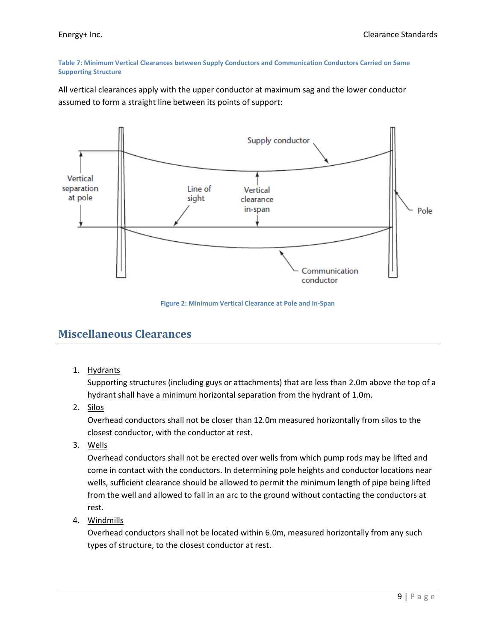#### <span id="page-8-1"></span>**Table 7: Minimum Vertical Clearances between Supply Conductors and Communication Conductors Carried on Same Supporting Structure**

All vertical clearances apply with the upper conductor at maximum sag and the lower conductor assumed to form a straight line between its points of support:



**Figure 2: Minimum Vertical Clearance at Pole and In-Span**

### <span id="page-8-2"></span><span id="page-8-0"></span>**Miscellaneous Clearances**

1. Hydrants

Supporting structures (including guys or attachments) that are less than 2.0m above the top of a hydrant shall have a minimum horizontal separation from the hydrant of 1.0m.

2. Silos

Overhead conductors shall not be closer than 12.0m measured horizontally from silos to the closest conductor, with the conductor at rest.

3. Wells

Overhead conductors shall not be erected over wells from which pump rods may be lifted and come in contact with the conductors. In determining pole heights and conductor locations near wells, sufficient clearance should be allowed to permit the minimum length of pipe being lifted from the well and allowed to fall in an arc to the ground without contacting the conductors at rest.

4. Windmills

Overhead conductors shall not be located within 6.0m, measured horizontally from any such types of structure, to the closest conductor at rest.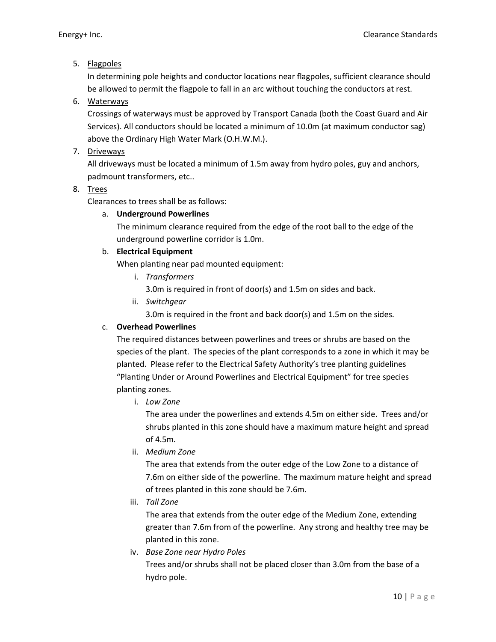### 5. Flagpoles

In determining pole heights and conductor locations near flagpoles, sufficient clearance should be allowed to permit the flagpole to fall in an arc without touching the conductors at rest.

### 6. Waterways

Crossings of waterways must be approved by Transport Canada (both the Coast Guard and Air Services). All conductors should be located a minimum of 10.0m (at maximum conductor sag) above the Ordinary High Water Mark (O.H.W.M.).

### 7. Driveways

All driveways must be located a minimum of 1.5m away from hydro poles, guy and anchors, padmount transformers, etc..

### 8. Trees

Clearances to trees shall be as follows:

#### a. **Underground Powerlines**

The minimum clearance required from the edge of the root ball to the edge of the underground powerline corridor is 1.0m.

#### b. **Electrical Equipment**

When planting near pad mounted equipment:

- i. *Transformers*
	- 3.0m is required in front of door(s) and 1.5m on sides and back.
- ii. *Switchgear*

3.0m is required in the front and back door(s) and 1.5m on the sides.

### c. **Overhead Powerlines**

The required distances between powerlines and trees or shrubs are based on the species of the plant. The species of the plant corresponds to a zone in which it may be planted. Please refer to the Electrical Safety Authority's tree planting guidelines "Planting Under or Around Powerlines and Electrical Equipment" for tree species planting zones.

i. *Low Zone*

The area under the powerlines and extends 4.5m on either side. Trees and/or shrubs planted in this zone should have a maximum mature height and spread of 4.5m.

ii. *Medium Zone*

The area that extends from the outer edge of the Low Zone to a distance of 7.6m on either side of the powerline. The maximum mature height and spread of trees planted in this zone should be 7.6m.

iii. *Tall Zone*

The area that extends from the outer edge of the Medium Zone, extending greater than 7.6m from of the powerline. Any strong and healthy tree may be planted in this zone.

iv. *Base Zone near Hydro Poles* Trees and/or shrubs shall not be placed closer than 3.0m from the base of a hydro pole.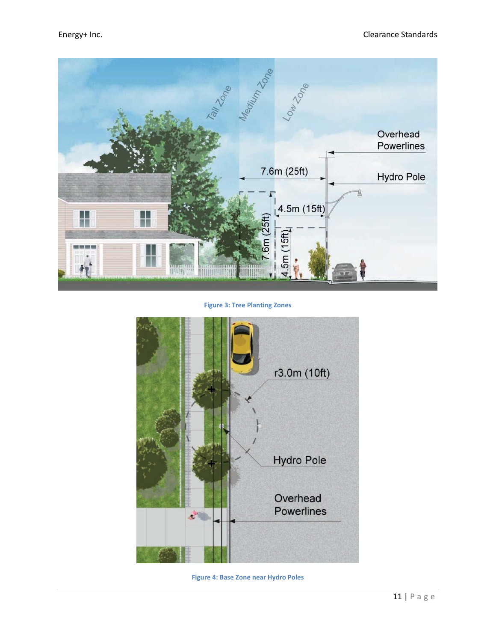

**Figure 3: Tree Planting Zones**

<span id="page-10-1"></span><span id="page-10-0"></span>

**Figure 4: Base Zone near Hydro Poles**